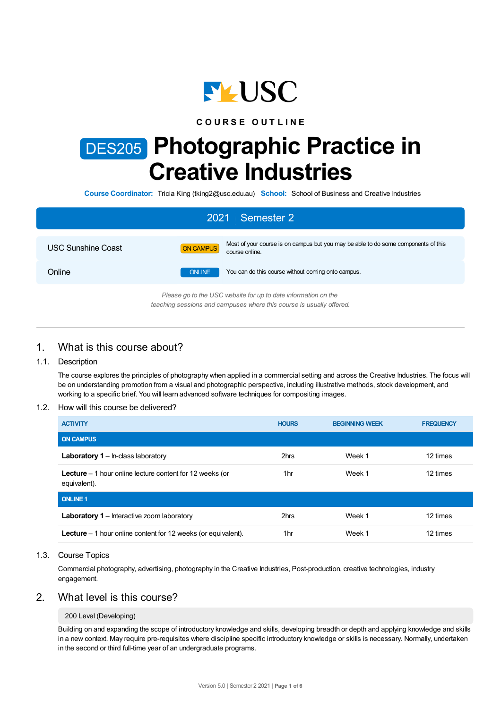

## **C O U R S E O U T L I N E**

# DES205 **Photographic Practice in Creative Industries**

**Course Coordinator:** Tricia King (tking2@usc.edu.au) **School:** School of Business and Creative Industries

| 2021 Semester 2                                                                                                                        |               |                                                                                                      |  |  |  |
|----------------------------------------------------------------------------------------------------------------------------------------|---------------|------------------------------------------------------------------------------------------------------|--|--|--|
| <b>USC Sunshine Coast</b>                                                                                                              | ON CAMPUS     | Most of your course is on campus but you may be able to do some components of this<br>course online. |  |  |  |
| Online                                                                                                                                 | <b>ONLINE</b> | You can do this course without coming onto campus.                                                   |  |  |  |
| Please go to the USC website for up to date information on the<br>teaching sessions and campuses where this course is usually offered. |               |                                                                                                      |  |  |  |

# 1. What is this course about?

## 1.1. Description

The course explores the principles of photography when applied in a commercial setting and across the Creative Industries. The focus will be on understanding promotion from a visual and photographic perspective, including illustrative methods, stock development, and working to a specific brief. You will learn advanced software techniques for compositing images.

## 1.2. How will this course be delivered?

| <b>ACTIVITY</b>                                                                  | <b>HOURS</b> | <b>BEGINNING WEEK</b> | <b>FREQUENCY</b> |
|----------------------------------------------------------------------------------|--------------|-----------------------|------------------|
| <b>ON CAMPUS</b>                                                                 |              |                       |                  |
| <b>Laboratory 1</b> – In-class laboratory                                        | 2hrs         | Week 1                | 12 times         |
| <b>Lecture</b> $-1$ hour online lecture content for 12 weeks (or<br>equivalent). | 1hr          | Week 1                | 12 times         |
| <b>ONLINE 1</b>                                                                  |              |                       |                  |
| <b>Laboratory 1</b> – Interactive zoom laboratory                                | 2hrs         | Week 1                | 12 times         |
| <b>Lecture</b> $-1$ hour online content for 12 weeks (or equivalent).            | 1hr          | Week 1                | 12 times         |

## 1.3. Course Topics

Commercial photography, advertising, photography in the Creative Industries, Post-production, creative technologies, industry engagement.

# 2. What level is this course?

## 200 Level (Developing)

Building on and expanding the scope of introductory knowledge and skills, developing breadth or depth and applying knowledge and skills in a new context. May require pre-requisites where discipline specific introductory knowledge or skills is necessary. Normally, undertaken in the second or third full-time year of an undergraduate programs.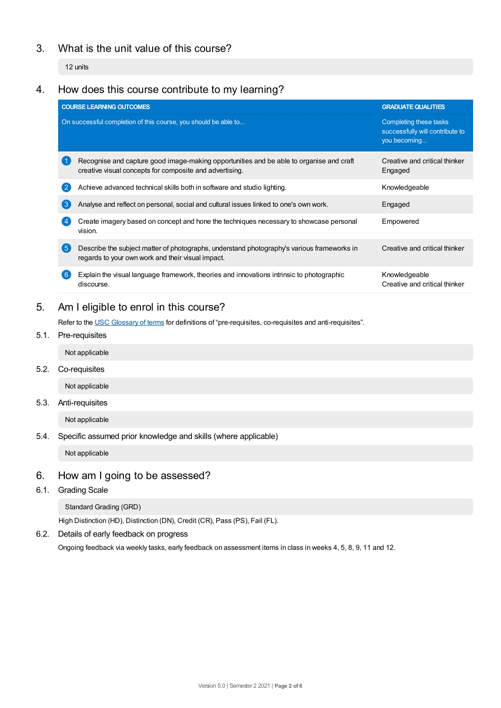# 3. What is the unit value of this course?

12 units

# 4. How does this course contribute to my learning?

|     | <b>COURSE LEARNING OUTCOMES</b>                                                                                                                    | <b>GRADUATE QUALITIES</b>                                                 |
|-----|----------------------------------------------------------------------------------------------------------------------------------------------------|---------------------------------------------------------------------------|
|     | On successful completion of this course, you should be able to                                                                                     | Completing these tasks<br>successfully will contribute to<br>you becoming |
|     | Recognise and capture good image-making opportunities and be able to organise and craft<br>creative visual concepts for composite and advertising. | Creative and critical thinker<br>Engaged                                  |
|     | Achieve advanced technical skills both in software and studio lighting.                                                                            | Knowledgeable                                                             |
| 3   | Analyse and reflect on personal, social and cultural issues linked to one's own work.                                                              | Engaged                                                                   |
|     | Create imagery based on concept and hone the techniques necessary to showcase personal<br>vision.                                                  | Empowered                                                                 |
| (5) | Describe the subject matter of photographs, understand photography's various frameworks in<br>regards to your own work and their visual impact.    | Creative and critical thinker                                             |
|     | Explain the visual language framework, theories and innovations intrinsic to photographic<br>discourse.                                            | Knowledgeable<br>Creative and critical thinker                            |
|     |                                                                                                                                                    |                                                                           |

# 5. Am Ieligible to enrol in this course?

Refer to the USC [Glossary](https://www.usc.edu.au/about/policies-and-procedures/glossary-of-terms-for-policy-and-procedures) of terms for definitions of "pre-requisites, co-requisites and anti-requisites".

- 5.1. Pre-requisites
	- Not applicable
- 5.2. Co-requisites

Not applicable

5.3. Anti-requisites

Not applicable

5.4. Specific assumed prior knowledge and skills (where applicable)

Not applicable

# 6. How am Igoing to be assessed?

6.1. Grading Scale

Standard Grading (GRD)

High Distinction (HD), Distinction (DN), Credit (CR), Pass (PS), Fail (FL).

6.2. Details of early feedback on progress

Ongoing feedback via weekly tasks, early feedback on assessment items in class in weeks 4, 5, 8, 9, 11 and 12.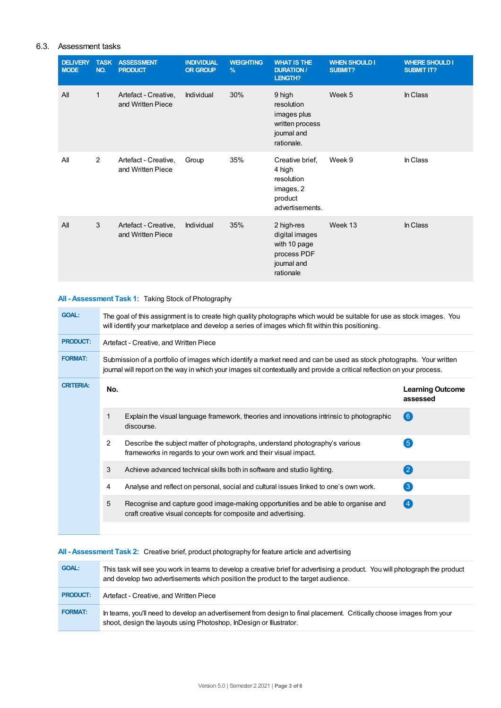## 6.3. Assessment tasks

| <b>DELIVERY</b><br><b>MODE</b> | <b>TASK</b><br>NO. | <b>ASSESSMENT</b><br><b>PRODUCT</b>       | <b>INDIVIDUAL</b><br><b>OR GROUP</b> | <b>WEIGHTING</b><br>$\frac{9}{6}$ | <b>WHAT IS THE</b><br><b>DURATION/</b><br><b>LENGTH?</b>                                | <b>WHEN SHOULD I</b><br><b>SUBMIT?</b> | <b>WHERE SHOULD I</b><br><b>SUBMIT IT?</b> |
|--------------------------------|--------------------|-------------------------------------------|--------------------------------------|-----------------------------------|-----------------------------------------------------------------------------------------|----------------------------------------|--------------------------------------------|
| All                            | $\mathbf{1}$       | Artefact - Creative,<br>and Written Piece | Individual                           | 30%                               | 9 high<br>resolution<br>images plus<br>written process<br>journal and<br>rationale.     | Week 5                                 | In Class                                   |
| All                            | $\overline{2}$     | Artefact - Creative,<br>and Written Piece | Group                                | 35%                               | Creative brief.<br>4 high<br>resolution<br>images, 2<br>product<br>advertisements.      | Week 9                                 | In Class                                   |
| All                            | 3                  | Artefact - Creative,<br>and Written Piece | Individual                           | 35%                               | 2 high-res<br>digital images<br>with 10 page<br>process PDF<br>journal and<br>rationale | Week 13                                | In Class                                   |

## **All - Assessment Task 1:** Taking Stock of Photography

| <b>GOAL:</b>     | The goal of this assignment is to create high quality photographs which would be suitable for use as stock images. You<br>will identify your marketplace and develop a series of images which fit within this positioning.                     |                                                                                                                                                    |                                     |  |
|------------------|------------------------------------------------------------------------------------------------------------------------------------------------------------------------------------------------------------------------------------------------|----------------------------------------------------------------------------------------------------------------------------------------------------|-------------------------------------|--|
| <b>PRODUCT:</b>  | Artefact - Creative, and Written Piece                                                                                                                                                                                                         |                                                                                                                                                    |                                     |  |
| <b>FORMAT:</b>   | Submission of a portfolio of images which identify a market need and can be used as stock photographs. Your written<br>journal will report on the way in which your images sit contextually and provide a critical reflection on your process. |                                                                                                                                                    |                                     |  |
| <b>CRITERIA:</b> | No.                                                                                                                                                                                                                                            |                                                                                                                                                    | <b>Learning Outcome</b><br>assessed |  |
|                  |                                                                                                                                                                                                                                                | Explain the visual language framework, theories and innovations intrinsic to photographic<br>discourse.                                            | <b>6</b>                            |  |
|                  | $\overline{2}$                                                                                                                                                                                                                                 | Describe the subject matter of photographs, understand photography's various<br>frameworks in regards to your own work and their visual impact.    | $\left(5\right)$                    |  |
|                  | 3                                                                                                                                                                                                                                              | Achieve advanced technical skills both in software and studio lighting.                                                                            | $\left( 2\right)$                   |  |
|                  | 4                                                                                                                                                                                                                                              | Analyse and reflect on personal, social and cultural issues linked to one's own work.                                                              | $\left(3\right)$                    |  |
|                  | 5                                                                                                                                                                                                                                              | Recognise and capture good image-making opportunities and be able to organise and<br>craft creative visual concepts for composite and advertising. | (4)                                 |  |
|                  |                                                                                                                                                                                                                                                |                                                                                                                                                    |                                     |  |

## **All - Assessment Task 2:** Creative brief, product photography for feature article and advertising

| <b>GOAL:</b>    | This task will see you work in teams to develop a creative brief for advertising a product. You will photograph the product<br>and develop two advertisements which position the product to the target audience. |
|-----------------|------------------------------------------------------------------------------------------------------------------------------------------------------------------------------------------------------------------|
| <b>PRODUCT:</b> | Artefact - Creative, and Written Piece                                                                                                                                                                           |
| <b>FORMAT:</b>  | In teams, you'll need to develop an advertisement from design to final placement. Critically choose images from your<br>shoot, design the layouts using Photoshop, In Design or Illustrator.                     |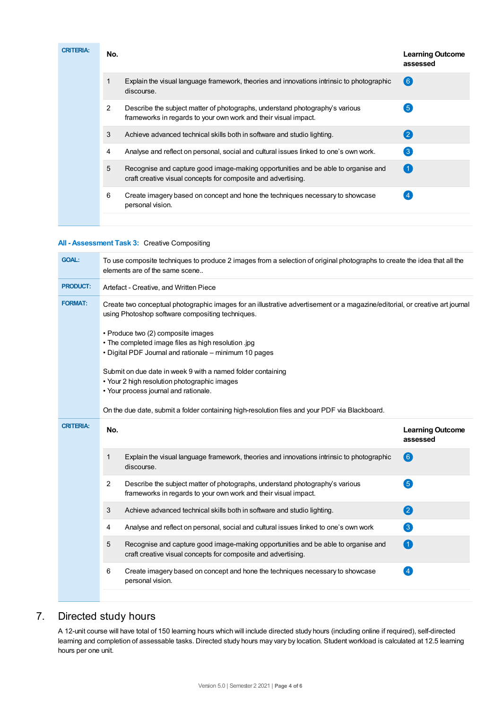| <b>CRITERIA:</b> | No. |                                                                                                                                                    | <b>Learning Outcome</b><br>assessed |
|------------------|-----|----------------------------------------------------------------------------------------------------------------------------------------------------|-------------------------------------|
|                  |     | Explain the visual language framework, theories and innovations intrinsic to photographic<br>discourse.                                            | (6)                                 |
|                  | 2   | Describe the subject matter of photographs, understand photography's various<br>frameworks in regards to your own work and their visual impact.    | $\left(5\right)$                    |
|                  | 3   | Achieve advanced technical skills both in software and studio lighting.                                                                            | (2)                                 |
|                  | 4   | Analyse and reflect on personal, social and cultural issues linked to one's own work.                                                              | $\left(3\right)$                    |
|                  | 5   | Recognise and capture good image-making opportunities and be able to organise and<br>craft creative visual concepts for composite and advertising. | $^{\circ}$ 1                        |
|                  | 6   | Create imagery based on concept and hone the techniques necessary to showcase<br>personal vision.                                                  |                                     |
|                  |     |                                                                                                                                                    |                                     |

## **All - Assessment Task 3:** Creative Compositing

| <b>GOAL:</b>     | To use composite techniques to produce 2 images from a selection of original photographs to create the idea that all the<br>elements are of the same scene                       |                                                                                                                                                      |                                     |  |  |  |
|------------------|----------------------------------------------------------------------------------------------------------------------------------------------------------------------------------|------------------------------------------------------------------------------------------------------------------------------------------------------|-------------------------------------|--|--|--|
| <b>PRODUCT:</b>  | Artefact - Creative, and Written Piece                                                                                                                                           |                                                                                                                                                      |                                     |  |  |  |
| <b>FORMAT:</b>   | Create two conceptual photographic images for an illustrative advertisement or a magazine/editorial, or creative art journal<br>using Photoshop software compositing techniques. |                                                                                                                                                      |                                     |  |  |  |
|                  | • Produce two (2) composite images<br>. The completed image files as high resolution .jpg<br>• Digital PDF Journal and rationale - minimum 10 pages                              |                                                                                                                                                      |                                     |  |  |  |
|                  |                                                                                                                                                                                  | Submit on due date in week 9 with a named folder containing<br>• Your 2 high resolution photographic images<br>• Your process journal and rationale. |                                     |  |  |  |
|                  | On the due date, submit a folder containing high-resolution files and your PDF via Blackboard.                                                                                   |                                                                                                                                                      |                                     |  |  |  |
| <b>CRITERIA:</b> | No.                                                                                                                                                                              |                                                                                                                                                      | <b>Learning Outcome</b><br>assessed |  |  |  |
|                  | 1                                                                                                                                                                                | Explain the visual language framework, theories and innovations intrinsic to photographic<br>discourse.                                              | 6                                   |  |  |  |
|                  | 2                                                                                                                                                                                | Describe the subject matter of photographs, understand photography's various<br>frameworks in regards to your own work and their visual impact.      | 6                                   |  |  |  |
|                  | 3                                                                                                                                                                                | Achieve advanced technical skills both in software and studio lighting.                                                                              | 2                                   |  |  |  |
|                  | 4                                                                                                                                                                                | Analyse and reflect on personal, social and cultural issues linked to one's own work                                                                 | 3                                   |  |  |  |
|                  | 5                                                                                                                                                                                | Recognise and capture good image-making opportunities and be able to organise and<br>craft creative visual concepts for composite and advertising.   | 1                                   |  |  |  |
|                  |                                                                                                                                                                                  |                                                                                                                                                      |                                     |  |  |  |
|                  | 6                                                                                                                                                                                | Create imagery based on concept and hone the techniques necessary to showcase<br>personal vision.                                                    | $\left( 4\right)$                   |  |  |  |

# 7. Directed study hours

A 12-unit course will have total of 150 learning hours which will include directed study hours (including online if required), self-directed learning and completion of assessable tasks. Directed study hours may vary by location. Student workload is calculated at 12.5 learning hours per one unit.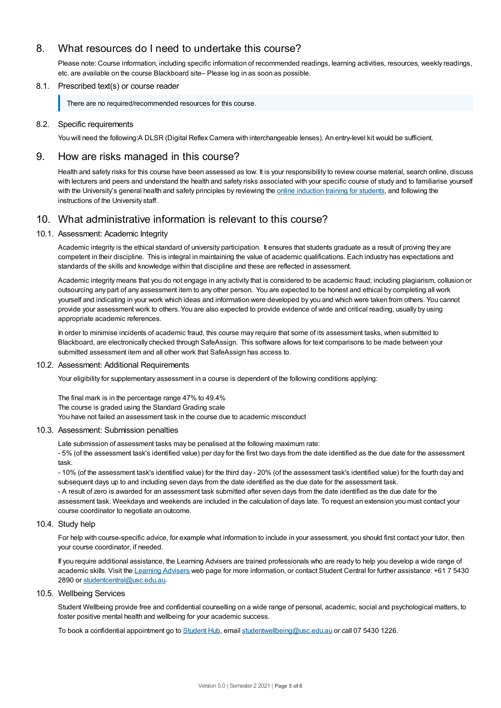# 8. What resources do I need to undertake this course?

Please note: Course information, including specific information of recommended readings, learning activities, resources, weekly readings, etc. are available on the course Blackboard site– Please log in as soon as possible.

## 8.1. Prescribed text(s) or course reader

There are no required/recommended resources for this course.

## 8.2. Specific requirements

You will need the following:A DLSR (Digital Reflex Camera with interchangeable lenses). An entry-level kit would be sufficient.

## 9. How are risks managed in this course?

Health and safety risks for this course have been assessed as low. It is your responsibility to review course material, search online, discuss with lecturers and peers and understand the health and safety risks associated with your specific course of study and to familiarise yourself with the University's general health and safety principles by reviewing the online [induction](https://online.usc.edu.au/webapps/blackboard/content/listContentEditable.jsp?content_id=_632657_1&course_id=_14432_1) training for students, and following the instructions of the University staff.

## 10. What administrative information is relevant to this course?

## 10.1. Assessment: Academic Integrity

Academic integrity is the ethical standard of university participation. It ensures that students graduate as a result of proving they are competent in their discipline. This is integral in maintaining the value of academic qualifications. Each industry has expectations and standards of the skills and knowledge within that discipline and these are reflected in assessment.

Academic integrity means that you do not engage in any activity that is considered to be academic fraud; including plagiarism, collusion or outsourcing any part of any assessment item to any other person. You are expected to be honest and ethical by completing all work yourself and indicating in your work which ideas and information were developed by you and which were taken from others. You cannot provide your assessment work to others.You are also expected to provide evidence of wide and critical reading, usually by using appropriate academic references.

In order to minimise incidents of academic fraud, this course may require that some of its assessment tasks, when submitted to Blackboard, are electronically checked through SafeAssign. This software allows for text comparisons to be made between your submitted assessment item and all other work that SafeAssign has access to.

## 10.2. Assessment: Additional Requirements

Your eligibility for supplementary assessment in a course is dependent of the following conditions applying:

The final mark is in the percentage range 47% to 49.4% The course is graded using the Standard Grading scale You have not failed an assessment task in the course due to academic misconduct

## 10.3. Assessment: Submission penalties

Late submission of assessment tasks may be penalised at the following maximum rate:

- 5% (of the assessment task's identified value) per day for the first two days from the date identified as the due date for the assessment task.

- 10% (of the assessment task's identified value) for the third day - 20% (of the assessment task's identified value) for the fourth day and subsequent days up to and including seven days from the date identified as the due date for the assessment task.

- A result of zero is awarded for an assessment task submitted after seven days from the date identified as the due date for the assessment task. Weekdays and weekends are included in the calculation of days late. To request an extension you must contact your course coordinator to negotiate an outcome.

## 10.4. Study help

For help with course-specific advice, for example what information to include in your assessment, you should first contact your tutor, then your course coordinator, if needed.

If you require additional assistance, the Learning Advisers are trained professionals who are ready to help you develop a wide range of academic skills. Visit the Learning [Advisers](https://www.usc.edu.au/current-students/student-support/academic-and-study-support/learning-advisers) web page for more information, or contact Student Central for further assistance: +61 7 5430 2890 or [studentcentral@usc.edu.au](mailto:studentcentral@usc.edu.au).

## 10.5. Wellbeing Services

Student Wellbeing provide free and confidential counselling on a wide range of personal, academic, social and psychological matters, to foster positive mental health and wellbeing for your academic success.

To book a confidential appointment go to [Student](https://studenthub.usc.edu.au/) Hub, email [studentwellbeing@usc.edu.au](mailto:studentwellbeing@usc.edu.au) or call 07 5430 1226.